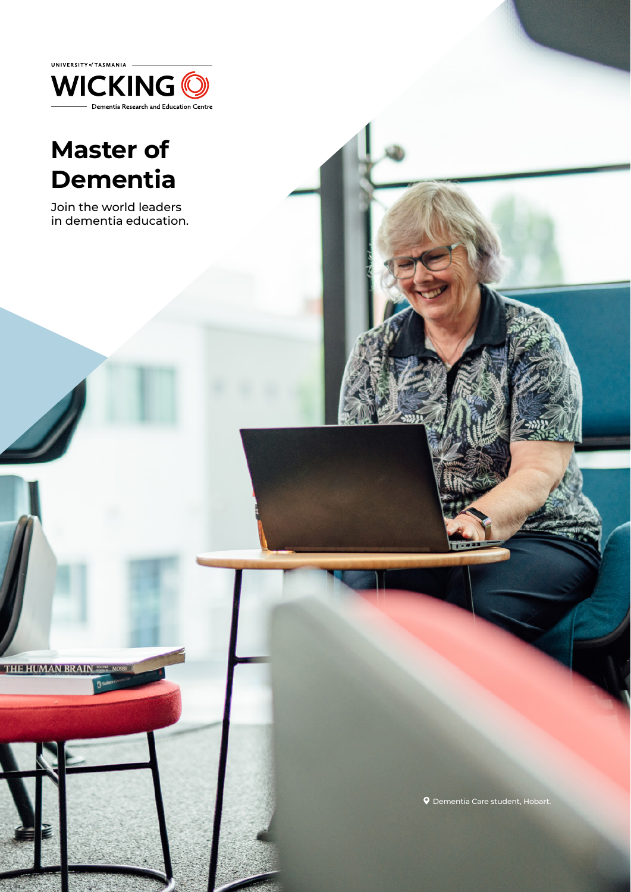

# **Master of Dementia**

Join the world leaders in dementia education.

**THE HUMAN BRAI** 

Dementia Care student, Hobart.

1 UNIVERSITY OF TASKANIA UNDERGRADUATE COURSE GUIDE 2022 UNDERGRADUATE COURSE GUIDE 2022 UNDERGRADUATE COURSE